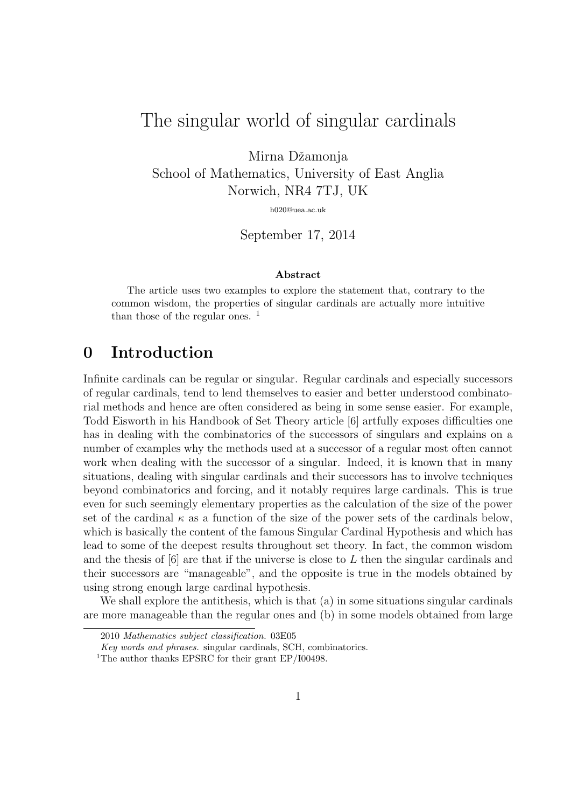# The singular world of singular cardinals

Mirna Džamonja School of Mathematics, University of East Anglia Norwich, NR4 7TJ, UK

h020@uea.ac.uk

September 17, 2014

#### Abstract

The article uses two examples to explore the statement that, contrary to the common wisdom, the properties of singular cardinals are actually more intuitive than those of the regular ones. <sup>1</sup>

### 0 Introduction

Infinite cardinals can be regular or singular. Regular cardinals and especially successors of regular cardinals, tend to lend themselves to easier and better understood combinatorial methods and hence are often considered as being in some sense easier. For example, Todd Eisworth in his Handbook of Set Theory article [6] artfully exposes difficulties one has in dealing with the combinatorics of the successors of singulars and explains on a number of examples why the methods used at a successor of a regular most often cannot work when dealing with the successor of a singular. Indeed, it is known that in many situations, dealing with singular cardinals and their successors has to involve techniques beyond combinatorics and forcing, and it notably requires large cardinals. This is true even for such seemingly elementary properties as the calculation of the size of the power set of the cardinal  $\kappa$  as a function of the size of the power sets of the cardinals below, which is basically the content of the famous Singular Cardinal Hypothesis and which has lead to some of the deepest results throughout set theory. In fact, the common wisdom and the thesis of  $[6]$  are that if the universe is close to L then the singular cardinals and their successors are "manageable", and the opposite is true in the models obtained by using strong enough large cardinal hypothesis.

We shall explore the antithesis, which is that (a) in some situations singular cardinals are more manageable than the regular ones and (b) in some models obtained from large

<sup>2010</sup> Mathematics subject classification. 03E05

Key words and phrases. singular cardinals, SCH, combinatorics.

<sup>&</sup>lt;sup>1</sup>The author thanks EPSRC for their grant EP/I00498.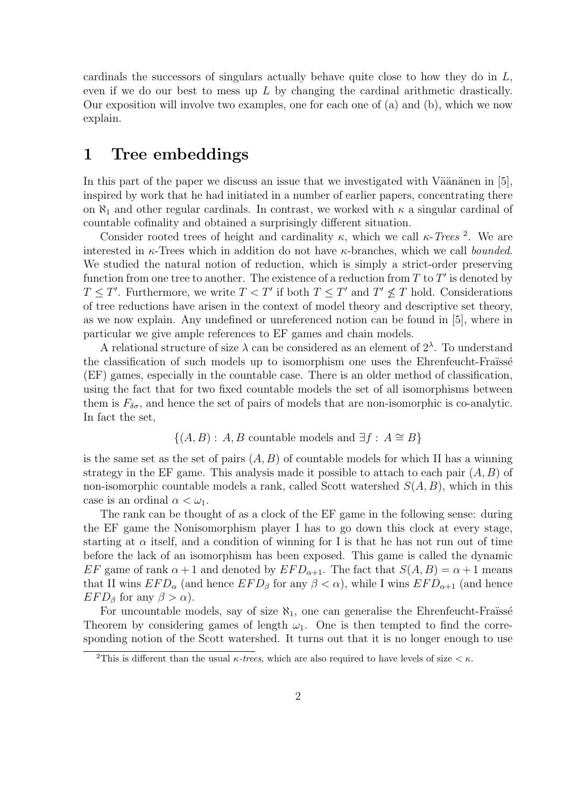cardinals the successors of singulars actually behave quite close to how they do in  $L$ , even if we do our best to mess up  $L$  by changing the cardinal arithmetic drastically. Our exposition will involve two examples, one for each one of (a) and (b), which we now explain.

#### 1 Tree embeddings

In this part of the paper we discuss an issue that we investigated with Väänänen in  $[5]$ , inspired by work that he had initiated in a number of earlier papers, concentrating there on  $\aleph_1$  and other regular cardinals. In contrast, we worked with  $\kappa$  a singular cardinal of countable cofinality and obtained a surprisingly different situation.

Consider rooted trees of height and cardinality  $\kappa$ , which we call  $\kappa$ -Trees<sup>2</sup>. We are interested in  $\kappa$ -Trees which in addition do not have  $\kappa$ -branches, which we call *bounded*. We studied the natural notion of reduction, which is simply a strict-order preserving function from one tree to another. The existence of a reduction from T to  $T'$  is denoted by  $T \leq T'$ . Furthermore, we write  $T < T'$  if both  $T \leq T'$  and  $T' \nleq T$  hold. Considerations of tree reductions have arisen in the context of model theory and descriptive set theory, as we now explain. Any undefined or unreferenced notion can be found in [5], where in particular we give ample references to EF games and chain models.

A relational structure of size  $\lambda$  can be considered as an element of  $2^{\lambda}$ . To understand the classification of such models up to isomorphism one uses the Ehrenfeucht-Fraüssé (EF) games, especially in the countable case. There is an older method of classification, using the fact that for two fixed countable models the set of all isomorphisms between them is  $F_{\delta\sigma}$ , and hence the set of pairs of models that are non-isomorphic is co-analytic. In fact the set,

$$
\{(A, B) : A, B \text{ countable models and } \exists f : A \cong B\}
$$

is the same set as the set of pairs  $(A, B)$  of countable models for which II has a winning strategy in the EF game. This analysis made it possible to attach to each pair  $(A, B)$  of non-isomorphic countable models a rank, called Scott watershed  $S(A, B)$ , which in this case is an ordinal  $\alpha < \omega_1$ .

The rank can be thought of as a clock of the EF game in the following sense: during the EF game the Nonisomorphism player I has to go down this clock at every stage, starting at  $\alpha$  itself, and a condition of winning for I is that he has not run out of time before the lack of an isomorphism has been exposed. This game is called the dynamic EF game of rank  $\alpha + 1$  and denoted by  $EFD_{\alpha+1}$ . The fact that  $S(A, B) = \alpha + 1$  means that II wins  $EFD_{\alpha}$  (and hence  $EFD_{\beta}$  for any  $\beta < \alpha$ ), while I wins  $EFD_{\alpha+1}$  (and hence  $EFD_{\beta}$  for any  $\beta > \alpha$ ).

For uncountable models, say of size  $\aleph_1$ , one can generalise the Ehrenfeucht-Fraüssé Theorem by considering games of length  $\omega_1$ . One is then tempted to find the corresponding notion of the Scott watershed. It turns out that it is no longer enough to use

<sup>&</sup>lt;sup>2</sup>This is different than the usual  $\kappa$ -trees, which are also required to have levels of size  $\lt \kappa$ .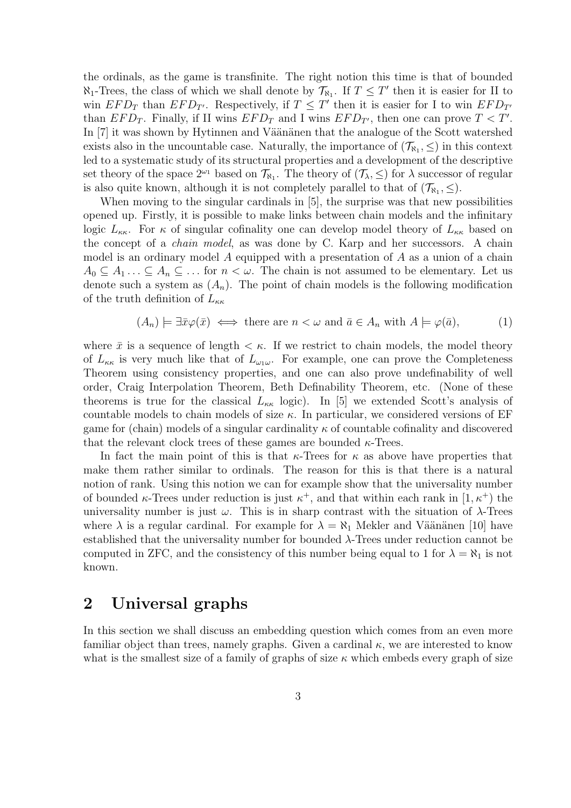the ordinals, as the game is transfinite. The right notion this time is that of bounded  $\aleph_1$ -Trees, the class of which we shall denote by  $\mathcal{T}_{\aleph_1}$ . If  $T \leq T'$  then it is easier for II to win  $EFD_T$  than  $EFD_{T'}$ . Respectively, if  $T \leq T'$  then it is easier for I to win  $EFD_{T'}$ than  $EFD_T$ . Finally, if II wins  $EFD_T$  and I wins  $EFD_{T'}$ , then one can prove  $T < T'$ . In [7] it was shown by Hytinnen and Väänänen that the analogue of the Scott watershed exists also in the uncountable case. Naturally, the importance of  $(\mathcal{T}_{\aleph_1}, \leq)$  in this context led to a systematic study of its structural properties and a development of the descriptive set theory of the space  $2^{\omega_1}$  based on  $\mathcal{T}_{\aleph_1}$ . The theory of  $(\mathcal{T}_{\lambda}, \leq)$  for  $\lambda$  successor of regular is also quite known, although it is not completely parallel to that of  $(\mathcal{T}_{\aleph_1}, \leq)$ .

When moving to the singular cardinals in [5], the surprise was that new possibilities opened up. Firstly, it is possible to make links between chain models and the infinitary logic  $L_{\kappa\kappa}$ . For  $\kappa$  of singular cofinality one can develop model theory of  $L_{\kappa\kappa}$  based on the concept of a *chain model*, as was done by C. Karp and her successors. A chain model is an ordinary model A equipped with a presentation of A as a union of a chain  $A_0 \subset A_1 \ldots \subset A_n \subset \ldots$  for  $n \lt \omega$ . The chain is not assumed to be elementary. Let us denote such a system as  $(A_n)$ . The point of chain models is the following modification of the truth definition of  $L_{\kappa\kappa}$ 

$$
(A_n) \models \exists \bar{x} \varphi(\bar{x}) \iff \text{there are } n < \omega \text{ and } \bar{a} \in A_n \text{ with } A \models \varphi(\bar{a}), \tag{1}
$$

where  $\bar{x}$  is a sequence of length  $\lt \kappa$ . If we restrict to chain models, the model theory of  $L_{\kappa\kappa}$  is very much like that of  $L_{\omega_1\omega}$ . For example, one can prove the Completeness Theorem using consistency properties, and one can also prove undefinability of well order, Craig Interpolation Theorem, Beth Definability Theorem, etc. (None of these theorems is true for the classical  $L_{\kappa\kappa}$  logic). In [5] we extended Scott's analysis of countable models to chain models of size  $\kappa$ . In particular, we considered versions of EF game for (chain) models of a singular cardinality  $\kappa$  of countable cofinality and discovered that the relevant clock trees of these games are bounded  $\kappa$ -Trees.

In fact the main point of this is that  $\kappa$ -Trees for  $\kappa$  as above have properties that make them rather similar to ordinals. The reason for this is that there is a natural notion of rank. Using this notion we can for example show that the universality number of bounded  $\kappa$ -Trees under reduction is just  $\kappa^+$ , and that within each rank in  $[1, \kappa^+)$  the universality number is just  $\omega$ . This is in sharp contrast with the situation of  $\lambda$ -Trees where  $\lambda$  is a regular cardinal. For example for  $\lambda = \aleph_1$  Mekler and Väänänen [10] have established that the universality number for bounded  $\lambda$ -Trees under reduction cannot be computed in ZFC, and the consistency of this number being equal to 1 for  $\lambda = \aleph_1$  is not known.

#### 2 Universal graphs

In this section we shall discuss an embedding question which comes from an even more familiar object than trees, namely graphs. Given a cardinal  $\kappa$ , we are interested to know what is the smallest size of a family of graphs of size  $\kappa$  which embeds every graph of size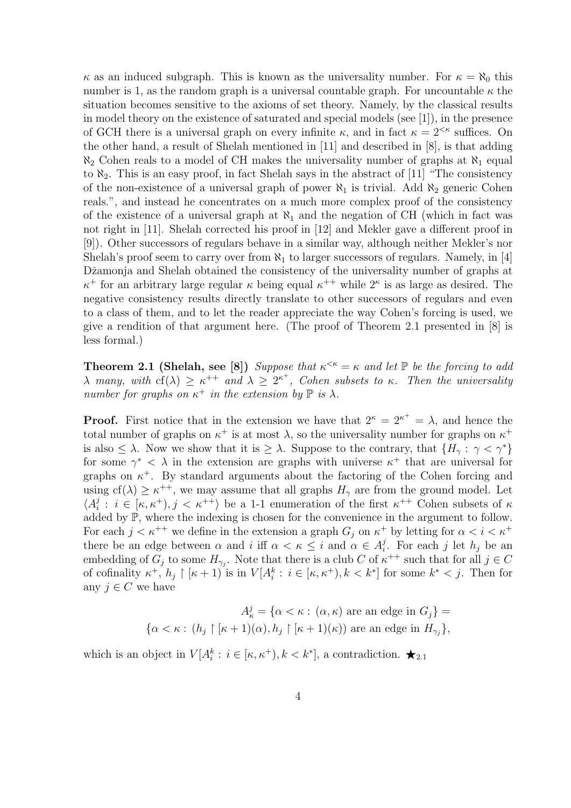$\kappa$  as an induced subgraph. This is known as the universality number. For  $\kappa = \aleph_0$  this number is 1, as the random graph is a universal countable graph. For uncountable  $\kappa$  the situation becomes sensitive to the axioms of set theory. Namely, by the classical results in model theory on the existence of saturated and special models (see [1]), in the presence of GCH there is a universal graph on every infinite  $\kappa$ , and in fact  $\kappa = 2^{<\kappa}$  suffices. On the other hand, a result of Shelah mentioned in [11] and described in [8], is that adding  $\aleph_2$  Cohen reals to a model of CH makes the universality number of graphs at  $\aleph_1$  equal to  $\aleph_2$ . This is an easy proof, in fact Shelah says in the abstract of [11] "The consistency of the non-existence of a universal graph of power  $\aleph_1$  is trivial. Add  $\aleph_2$  generic Cohen reals.", and instead he concentrates on a much more complex proof of the consistency of the existence of a universal graph at  $\aleph_1$  and the negation of CH (which in fact was not right in [11]. Shelah corrected his proof in [12] and Mekler gave a different proof in [9]). Other successors of regulars behave in a similar way, although neither Mekler's nor Shelah's proof seem to carry over from  $\aleph_1$  to larger successors of regulars. Namely, in [4] Džamonja and Shelah obtained the consistency of the universality number of graphs at  $\kappa^+$  for an arbitrary large regular  $\kappa$  being equal  $\kappa^{++}$  while  $2^{\kappa}$  is as large as desired. The negative consistency results directly translate to other successors of regulars and even to a class of them, and to let the reader appreciate the way Cohen's forcing is used, we give a rendition of that argument here. (The proof of Theorem 2.1 presented in [8] is less formal.)

**Theorem 2.1 (Shelah, see [8])** Suppose that  $\kappa^{\leq \kappa} = \kappa$  and let  $\mathbb{P}$  be the forcing to add  $\lambda$  many, with  $cf(\lambda) \geq \kappa^{++}$  and  $\lambda \geq 2^{\kappa^+}$ , Cohen subsets to  $\kappa$ . Then the universality number for graphs on  $\kappa^+$  in the extension by  $\mathbb P$  is  $\lambda$ .

**Proof.** First notice that in the extension we have that  $2^{\kappa} = 2^{\kappa^+} = \lambda$ , and hence the total number of graphs on  $\kappa^+$  is at most  $\lambda$ , so the universality number for graphs on  $\kappa^+$ is also  $\langle \lambda \rangle$ . Now we show that it is  $\geq \lambda$ . Suppose to the contrary, that  $\{H_{\gamma} : \gamma \langle \gamma^* \rangle\}$ for some  $\gamma^* < \lambda$  in the extension are graphs with universe  $\kappa^+$  that are universal for graphs on  $\kappa^+$ . By standard arguments about the factoring of the Cohen forcing and using  $cf(\lambda) \geq \kappa^{++}$ , we may assume that all graphs  $H_{\gamma}$  are from the ground model. Let  $\langle A_i^j$  $i : i \in [\kappa, \kappa^+), j < \kappa^{++}$  be a 1-1 enumeration of the first  $\kappa^{++}$  Cohen subsets of  $\kappa$ added by P, where the indexing is chosen for the convenience in the argument to follow. For each  $j < \kappa^{++}$  we define in the extension a graph  $G_j$  on  $\kappa^+$  by letting for  $\alpha < i < \kappa^+$ there be an edge between  $\alpha$  and  $i$  iff  $\alpha < \kappa \leq i$  and  $\alpha \in A_i^j$ <sup>*j*</sup>. For each *j* let  $h_j$  be an embedding of  $G_j$  to some  $H_{\gamma_j}$ . Note that there is a club C of  $\kappa^{++}$  such that for all  $j \in C$ of cofinality  $\kappa^+, h_j \restriction [\kappa + 1]$  is in  $V[A_i^k : i \in [\kappa, \kappa^+), k < k^*]$  for some  $k^* < j$ . Then for any  $j \in C$  we have

$$
A_{\kappa}^{j} = \{ \alpha < \kappa : (\alpha, \kappa) \text{ are an edge in } G_{j} \} =
$$
  

$$
\{ \alpha < \kappa : (h_{j} \upharpoonright [\kappa + 1)(\alpha), h_{j} \upharpoonright [\kappa + 1)(\kappa)) \text{ are an edge in } H_{\gamma_{j}} \},
$$

which is an object in  $V[A_i^k : i \in [\kappa, \kappa^+), k < k^*]$ , a contradiction.  $\bigstar_{2,1}$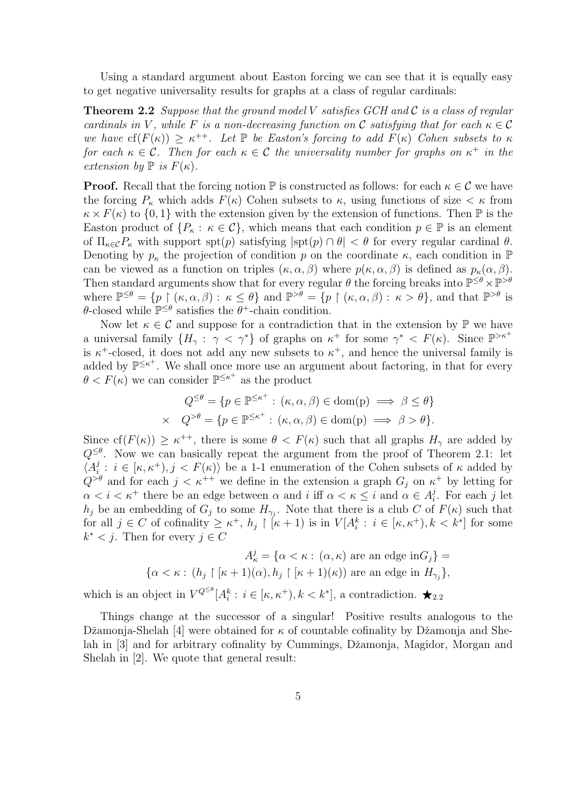Using a standard argument about Easton forcing we can see that it is equally easy to get negative universality results for graphs at a class of regular cardinals:

**Theorem 2.2** Suppose that the ground model V satisfies GCH and C is a class of regular cardinals in V, while F is a non-decreasing function on C satisfying that for each  $\kappa \in \mathcal{C}$ we have  $cf(F(\kappa)) \geq \kappa^{++}$ . Let  $\mathbb P$  be Easton's forcing to add  $F(\kappa)$  Cohen subsets to  $\kappa$ for each  $\kappa \in \mathcal{C}$ . Then for each  $\kappa \in \mathcal{C}$  the universality number for graphs on  $\kappa^+$  in the extension by  $\mathbb P$  is  $F(\kappa)$ .

**Proof.** Recall that the forcing notion  $\mathbb P$  is constructed as follows: for each  $\kappa \in \mathcal C$  we have the forcing  $P_{\kappa}$  which adds  $F(\kappa)$  Cohen subsets to  $\kappa$ , using functions of size  $\lt \kappa$  from  $\kappa \times F(\kappa)$  to  $\{0,1\}$  with the extension given by the extension of functions. Then  $\mathbb P$  is the Easton product of  $\{P_{\kappa} : \kappa \in C\}$ , which means that each condition  $p \in \mathbb{P}$  is an element of  $\Pi_{\kappa \in \mathcal{C}} P_{\kappa}$  with support spt(p) satisfying  $|\text{spt}(p) \cap \theta| < \theta$  for every regular cardinal  $\theta$ . Denoting by  $p_{\kappa}$  the projection of condition p on the coordinate  $\kappa$ , each condition in  $\mathbb{P}$ can be viewed as a function on triples  $(\kappa, \alpha, \beta)$  where  $p(\kappa, \alpha, \beta)$  is defined as  $p_{\kappa}(\alpha, \beta)$ . Then standard arguments show that for every regular  $\theta$  the forcing breaks into  $\mathbb{P}^{\leq \theta} \times \mathbb{P}^{> \theta}$ where  $\mathbb{P}^{\leq \theta} = \{p \mid (\kappa, \alpha, \beta) : \kappa \leq \theta\}$  and  $\mathbb{P}^{>\theta} = \{p \mid (\kappa, \alpha, \beta) : \kappa > \theta\}$ , and that  $\mathbb{P}^{>\theta}$  is  $\theta$ -closed while  $\mathbb{P}^{\leq \theta}$  satisfies the  $\theta^+$ -chain condition.

Now let  $\kappa \in \mathcal{C}$  and suppose for a contradiction that in the extension by  $\mathbb{P}$  we have a universal family  $\{H_\gamma: \gamma < \gamma^*\}$  of graphs on  $\kappa^+$  for some  $\gamma^* < F(\kappa)$ . Since  $\mathbb{P}^{>\kappa^+}$ is  $\kappa^+$ -closed, it does not add any new subsets to  $\kappa^+$ , and hence the universal family is added by  $\mathbb{P}^{\leq \kappa^+}$ . We shall once more use an argument about factoring, in that for every  $\theta < F(\kappa)$  we can consider  $\mathbb{P}^{\leq \kappa^+}$  as the product

$$
Q^{\leq \theta} = \{ p \in \mathbb{P}^{\leq \kappa^+} : (\kappa, \alpha, \beta) \in \text{dom}(p) \implies \beta \leq \theta \}
$$
  
 
$$
\times \quad Q^{> \theta} = \{ p \in \mathbb{P}^{\leq \kappa^+} : (\kappa, \alpha, \beta) \in \text{dom}(p) \implies \beta > \theta \}.
$$

Since  $cf(F(\kappa)) \geq \kappa^{++}$ , there is some  $\theta < F(\kappa)$  such that all graphs  $H_{\gamma}$  are added by  $Q^{\leq \theta}$ . Now we can basically repeat the argument from the proof of Theorem 2.1: let  $\langle A_i^j$  $i: i \in [\kappa, \kappa^+), j < F(\kappa)$  be a 1-1 enumeration of the Cohen subsets of  $\kappa$  added by  $Q^{>\theta}$  and for each  $j < \kappa^{++}$  we define in the extension a graph  $G_j$  on  $\kappa^+$  by letting for  $\alpha < i < \kappa^+$  there be an edge between  $\alpha$  and  $i$  iff  $\alpha < \kappa \leq i$  and  $\alpha \in A_i^j$  $i<sup>j</sup>$ . For each j let  $h_j$  be an embedding of  $G_j$  to some  $H_{\gamma_j}$ . Note that there is a club C of  $F(\kappa)$  such that for all  $j \in C$  of cofinality  $\geq \kappa^+$ ,  $h_j \restriction [\kappa+1)$  is in  $V[A_i^k : i \in [\kappa, \kappa^+), k < k^*]$  for some  $k^* < j$ . Then for every  $j \in C$ 

> $A_{\kappa}^{j} = {\alpha < \kappa : (\alpha, \kappa) \text{ are an edge in } G_{j}}$  $\{\alpha < \kappa : (h_j \restriction [\kappa + 1](\alpha), h_j \restriction [\kappa + 1)(\kappa)) \text{ are an edge in } H_{\gamma_j}\},\$

which is an object in  $V^{Q \leq \theta}[A_i^k : i \in [\kappa, \kappa^+), k < k^*]$ , a contradiction.  $\bigstar_{2,2}$ 

Things change at the successor of a singular! Positive results analogous to the Džamonja-Shelah [4] were obtained for  $\kappa$  of countable cofinality by Džamonja and Shelah in [3] and for arbitrary cofinality by Cummings, Džamonja, Magidor, Morgan and Shelah in [2]. We quote that general result: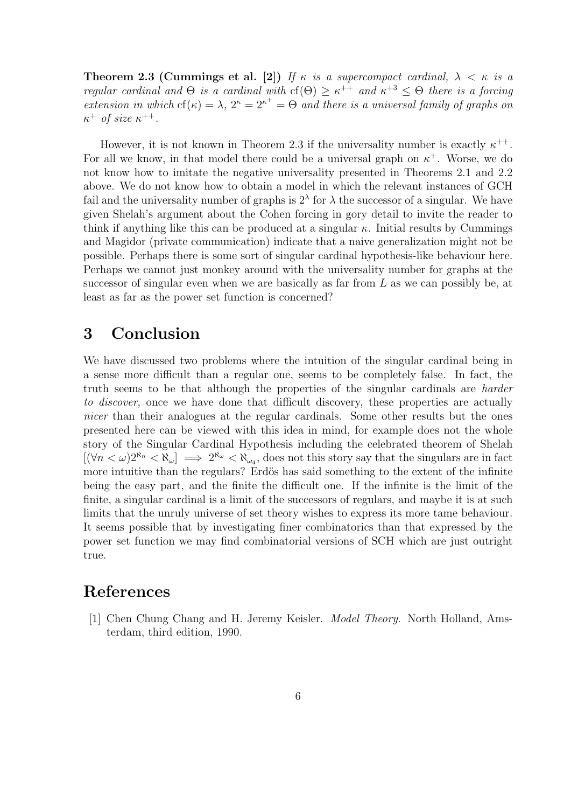**Theorem 2.3 (Cummings et al.** [2]) If  $\kappa$  is a supercompact cardinal,  $\lambda < \kappa$  is a regular cardinal and  $\Theta$  is a cardinal with  $cf(\Theta) \geq \kappa^{++}$  and  $\kappa^{+3} \leq \Theta$  there is a forcing extension in which  $cf(\kappa) = \lambda$ ,  $2^{\kappa} = 2^{\kappa^+} = \Theta$  and there is a universal family of graphs on  $\kappa^+$  of size  $\kappa^{++}$ .

However, it is not known in Theorem 2.3 if the universality number is exactly  $\kappa^{++}$ . For all we know, in that model there could be a universal graph on  $\kappa^+$ . Worse, we do not know how to imitate the negative universality presented in Theorems 2.1 and 2.2 above. We do not know how to obtain a model in which the relevant instances of GCH fail and the universality number of graphs is  $2^{\lambda}$  for  $\lambda$  the successor of a singular. We have given Shelah's argument about the Cohen forcing in gory detail to invite the reader to think if anything like this can be produced at a singular  $\kappa$ . Initial results by Cummings and Magidor (private communication) indicate that a naive generalization might not be possible. Perhaps there is some sort of singular cardinal hypothesis-like behaviour here. Perhaps we cannot just monkey around with the universality number for graphs at the successor of singular even when we are basically as far from  $L$  as we can possibly be, at least as far as the power set function is concerned?

## 3 Conclusion

We have discussed two problems where the intuition of the singular cardinal being in a sense more difficult than a regular one, seems to be completely false. In fact, the truth seems to be that although the properties of the singular cardinals are harder to discover, once we have done that difficult discovery, these properties are actually nicer than their analogues at the regular cardinals. Some other results but the ones presented here can be viewed with this idea in mind, for example does not the whole story of the Singular Cardinal Hypothesis including the celebrated theorem of Shelah  $[(\forall n < \omega)^{2^{\aleph_n}} < \aleph_{\omega}] \implies 2^{\aleph_{\omega}} < \aleph_{\omega_4}$ , does not this story say that the singulars are in fact more intuitive than the regulars? Erdös has said something to the extent of the infinite being the easy part, and the finite the difficult one. If the infinite is the limit of the finite, a singular cardinal is a limit of the successors of regulars, and maybe it is at such limits that the unruly universe of set theory wishes to express its more tame behaviour. It seems possible that by investigating finer combinatorics than that expressed by the power set function we may find combinatorial versions of SCH which are just outright true.

#### References

[1] Chen Chung Chang and H. Jeremy Keisler. Model Theory. North Holland, Amsterdam, third edition, 1990.